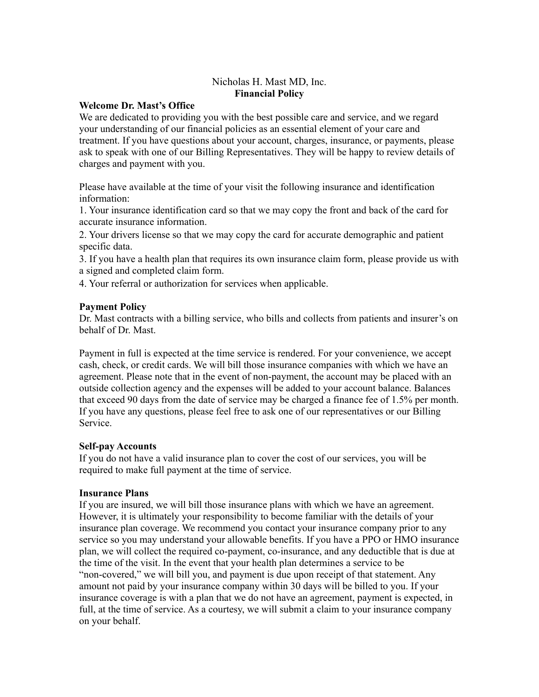# Nicholas H. Mast MD, Inc. **Financial Policy**

#### **Welcome Dr. Mast's Office**

We are dedicated to providing you with the best possible care and service, and we regard your understanding of our financial policies as an essential element of your care and treatment. If you have questions about your account, charges, insurance, or payments, please ask to speak with one of our Billing Representatives. They will be happy to review details of charges and payment with you.

Please have available at the time of your visit the following insurance and identification information:

1. Your insurance identification card so that we may copy the front and back of the card for accurate insurance information.

2. Your drivers license so that we may copy the card for accurate demographic and patient specific data.

3. If you have a health plan that requires its own insurance claim form, please provide us with a signed and completed claim form.

4. Your referral or authorization for services when applicable.

### **Payment Policy**

Dr. Mast contracts with a billing service, who bills and collects from patients and insurer's on behalf of Dr. Mast.

Payment in full is expected at the time service is rendered. For your convenience, we accept cash, check, or credit cards. We will bill those insurance companies with which we have an agreement. Please note that in the event of non-payment, the account may be placed with an outside collection agency and the expenses will be added to your account balance. Balances that exceed 90 days from the date of service may be charged a finance fee of 1.5% per month. If you have any questions, please feel free to ask one of our representatives or our Billing Service.

#### **Self-pay Accounts**

If you do not have a valid insurance plan to cover the cost of our services, you will be required to make full payment at the time of service.

#### **Insurance Plans**

If you are insured, we will bill those insurance plans with which we have an agreement. However, it is ultimately your responsibility to become familiar with the details of your insurance plan coverage. We recommend you contact your insurance company prior to any service so you may understand your allowable benefits. If you have a PPO or HMO insurance plan, we will collect the required co-payment, co-insurance, and any deductible that is due at the time of the visit. In the event that your health plan determines a service to be "non-covered," we will bill you, and payment is due upon receipt of that statement. Any amount not paid by your insurance company within 30 days will be billed to you. If your insurance coverage is with a plan that we do not have an agreement, payment is expected, in full, at the time of service. As a courtesy, we will submit a claim to your insurance company on your behalf.